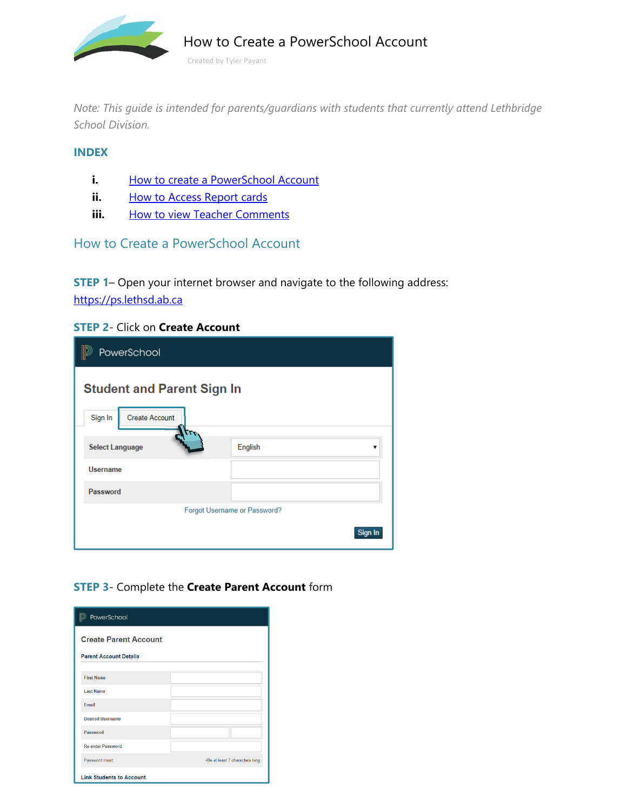Created by Tyler Payant How to Create a PowerSchool Account

*Note: This guide is intended for parents/guardians with students that currently attend Lethbridge School Division.* 

### **INDEX**

- **i.** How to create a PowerSchool Account
- **ii.** How to Access Report cards
- **iii.** How to view Teacher Comments

## How to Create a PowerSchool Account

**STEP 1**– Open your internet browser and navigate to the following address: https://ps.lethsd.ab.ca

### **STEP 2**- Click on **Create Account**

| PowerSchool                                                    |         |  |
|----------------------------------------------------------------|---------|--|
| <b>Student and Parent Sign In</b><br>Sign In<br>Create Account |         |  |
| <b>Select Language</b>                                         | English |  |
| <b>Username</b>                                                |         |  |
| Password                                                       |         |  |
| Forgot Username or Password?                                   |         |  |
|                                                                | Sign In |  |

## **STEP 3**- Complete the **Create Parent Account** form

| PowerSchool                     |                                |
|---------------------------------|--------------------------------|
| <b>Create Parent Account</b>    |                                |
| <b>Parent Account Details</b>   |                                |
| <b>First Name</b>               |                                |
| <b>Last Name</b>                |                                |
| Fmail                           |                                |
| <b>Desired Username</b>         |                                |
| Password                        |                                |
| <b>Re-enter Password</b>        |                                |
| Password must:                  | .Be at least 7 characters long |
| <b>Link Students to Account</b> |                                |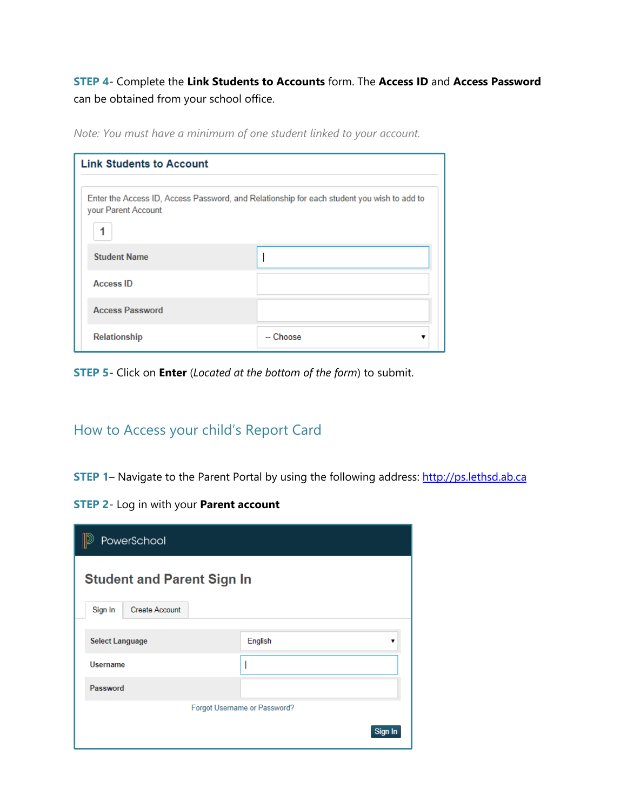**STEP 4**- Complete the **Link Students to Accounts** form. The **Access ID** and **Access Password** can be obtained from your school office.

| <b>Link Students to Account</b>                                                                                   |           |  |
|-------------------------------------------------------------------------------------------------------------------|-----------|--|
| Enter the Access ID, Access Password, and Relationship for each student you wish to add to<br>your Parent Account |           |  |
|                                                                                                                   |           |  |
| <b>Student Name</b>                                                                                               |           |  |
| <b>Access ID</b>                                                                                                  |           |  |
| <b>Access Password</b>                                                                                            |           |  |
| Relationship                                                                                                      | -- Choose |  |

*Note: You must have a minimum of one student linked to your account.*

**STEP 5**- Click on **Enter** (*Located at the bottom of the form*) to submit.

# How to Access your child's Report Card

**STEP 1-** Navigate to the Parent Portal by using the following address: http://ps.lethsd.ab.ca

**STEP 2**- Log in with your **Parent account** 

| PowerSchool                       |         |  |
|-----------------------------------|---------|--|
| <b>Student and Parent Sign In</b> |         |  |
| Sign In<br><b>Create Account</b>  |         |  |
| <b>Select Language</b>            | English |  |
| <b>Username</b>                   |         |  |
| Password                          |         |  |
| Forgot Username or Password?      |         |  |
|                                   | Sign In |  |